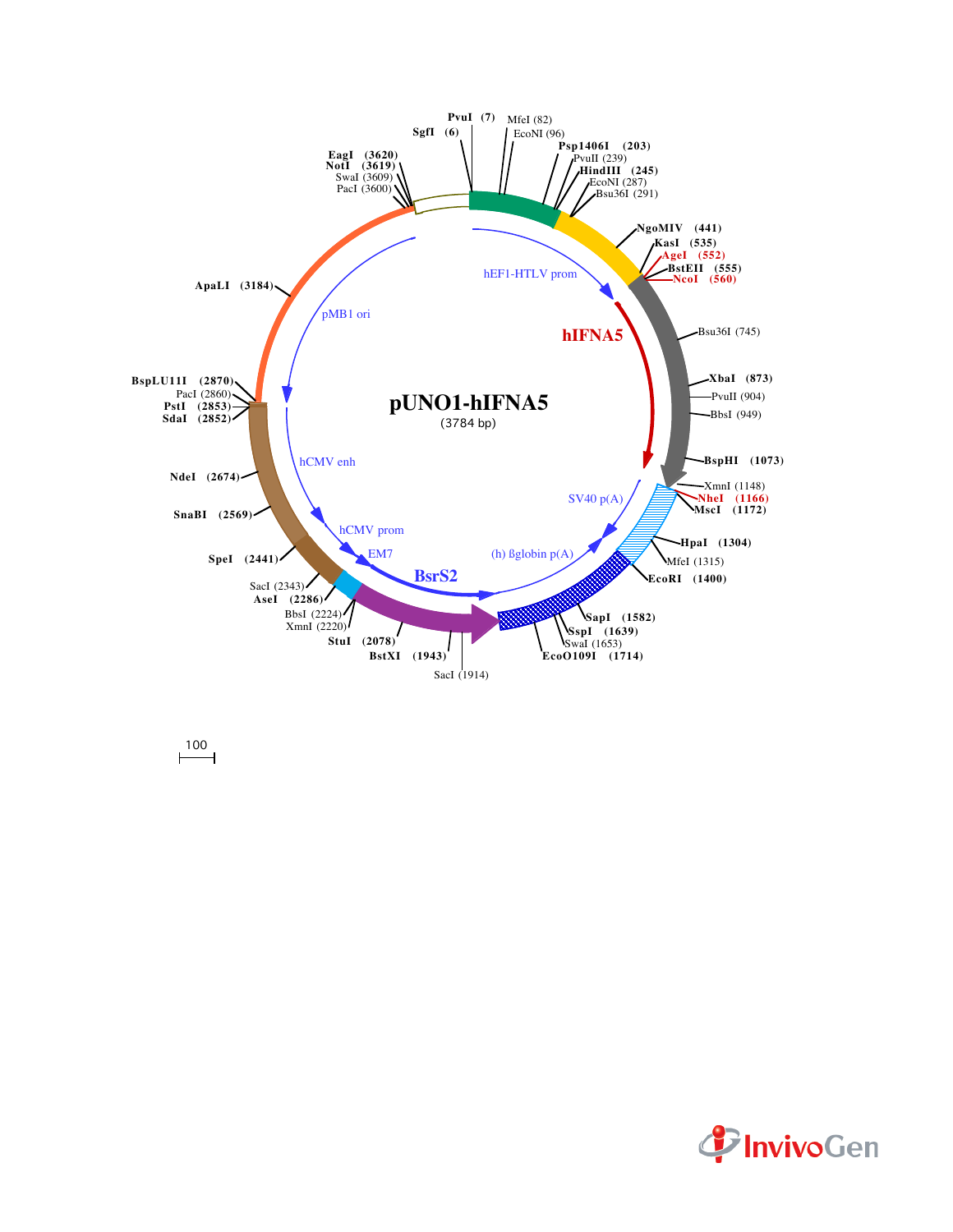

 $\overline{100}$ 

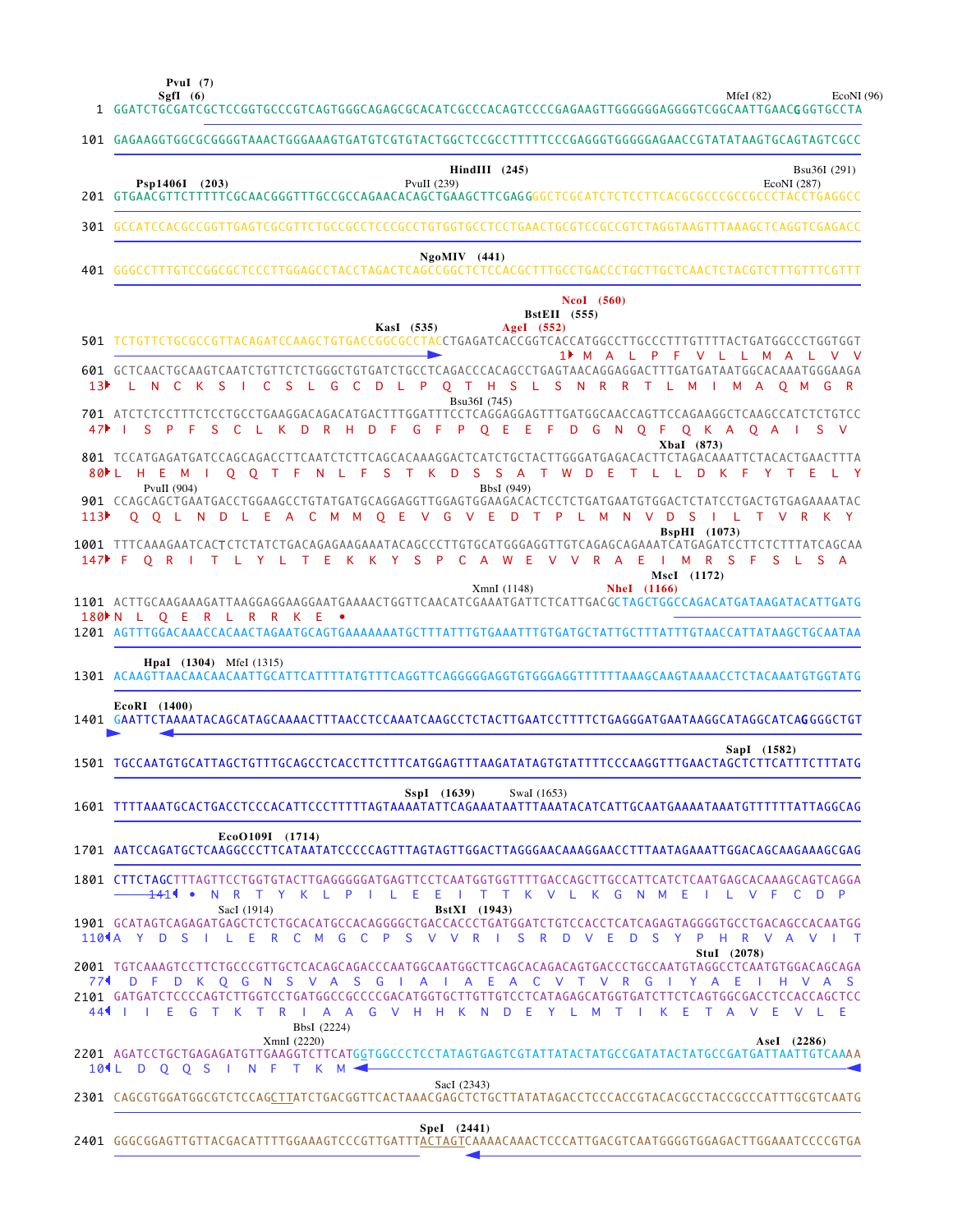**PvuI (7)**

MfeI (82) EcoNI (96)

|                 | MfeI $(82)$<br>SgfI $(6)$<br>EcoNI<br>1 GGATCTGCGATCGCTCCGGTGCCCGTCAGTGGGCAGAGCGCACATCGCCCACAGTCCCCGAGAAGTTGGGGGGAGGGGTCGGCAATTGAACGGGTGCCTA                                                                                                                                    |
|-----------------|---------------------------------------------------------------------------------------------------------------------------------------------------------------------------------------------------------------------------------------------------------------------------------|
|                 | 101 GAGAAGGTGGCGCGGGGTAAACTGGGAAAGTGATGTCGTGTACTGGCTCCGCCTTTTTCCCGAGGGTGGGGGAACCGTATATAAGTGCAGTAGTCGCC                                                                                                                                                                          |
|                 | $\textbf{HindIII}$ (245)<br>Bsu36I (291)<br>Psp1406I (203)<br>PvuII $(239)$<br>EcoNI (287)                                                                                                                                                                                      |
|                 | 301 GCCATCCACGCCGGTTGAGTCGCGTTCTGCCGCCTCCCGCCTGTGGTGCCTCCTGAACTGCGTCCGCCGTCTAGGTAAGTTTAAAGCTCAGGTCGAGACC                                                                                                                                                                        |
|                 | $Ng o MIV$ (441)                                                                                                                                                                                                                                                                |
|                 | NcoI (560)<br><b>BstEII</b> (555)<br>KasI (535)<br>AgeI (552)<br>501 TCTGTTCTGCGCCGTTACAGATCCAAGCTGTGACCGGCGCCTACCTGAGATCACCGGTCACCATGGCCTTGCCCTTTGTTTTACTGATGGCCCTGGTGGT                                                                                                       |
| 13 <sup>5</sup> | 1 M A L P F V L L M A L<br>601 GCTCAACTGCAAGTCAATCTGTTCTCTGGGCTGTGATCTGCCTCAGACCCACAGCCTGAGTAACAGGAGGACTTTGATGATAATGGCACAAATGGGAAGA<br>C S L G C D L P Q T H S L S N R R T L M I<br>L N C K S I<br>M A O M G<br>Bsu36I (745)                                                    |
|                 | 701 ATCTCTCCTTTCTCCTGCCTGAAGGACAGACATGACTTTGGATTTCCTCAGGAGGAGTTTGATGGCAACCAGTTCCAGAAGGCTCAAGCCATCTCTGTCC<br>S C L K D R H D F G F P Q E E F D G N Q F Q K A Q A I S V<br>S P F<br>$47$ $\rightarrow$ $\rightarrow$<br>XbaI (873)                                                |
|                 | 801 TCCATGAGATGATCCAGCAGACCTTCAATCTCTTCAGCACAAAGGACTCATCTGCTACTTGGGATGAGACACTTCTAGACAAATTCTACACTGAACTTTA<br>80 L H E M I O O T F N L F S T K D S S A T W D E<br>T L L D K F Y T E<br>$\mathsf{I}$ Y<br>PvuII (904)<br>BbsI (949)                                                |
| 113             | 901 CCAGCAGCTGAATGACCTGGAAGCCTGTATGATGCAGGAGGTTGGAGTGGAAGACACTCCTCTGATGAATGTGGACTCTATCCTGACTGTGAGAAAATAC<br>Q Q L N D L E A C M M Q E V G V E D T P L M N V D S<br>- Li<br>T V R K Y<br><b>BspHI</b> (1073)                                                                     |
|                 | 1001 TTTCAAAGAATCACTCTCTATCTGACAGAGAAGAAATACAGCCCTTGTGCATGGGAGGTTGTCAGAGCAGAAATCATGAGATCCTTCTCTTTATCAGCAA<br>147▶ F O R I T L Y L T E K K Y S P C A W E V V R A E<br>I M R S F S L<br>S A<br>MscI (1172)                                                                        |
|                 | XmnI (1148)<br>NheI (1166)<br>1101 ACTTGCAAGAAAGATTAAGGAGGAAGGAATGAAAACTGGTTCAACATCGAAATGATTCTCATTGACGCTAGCTGGCCAGACATGATAAGATACATTGATG<br>180 N L Q E R L R R K E<br>1201 AGTTTGGACAAACCACAACTAGAATGCAGTGAAAAAAATGCTTTATTTGTGAAATTTGTGATGCTATTGCTTTATTTGTAACCATTATAAGCTGCAATAA |
|                 | HpaI (1304) MfeI (1315)<br>1301 ACAAGTTAACAACAACAATTGCATTCATTTTATGTTTCAGGTTCAGGGGGAGGTGTGGGAGGTTTTTTAAAGCAAGTAAAACCTCTACAAATGTGGTATG                                                                                                                                            |
|                 | EcoRI (1400)<br>1401 GAATTCTAAAATACAGCATAGCAAAACTTTAACCTCCAAATCAAGCCTCTACTTGAATCCTTTTCTGAGGGATGAATAAGGCATAGGCATCAGGGGCTGT                                                                                                                                                       |
|                 | SapI (1582)<br>1501 TGCCAATGTGCATTAGCTGTTTGCAGCCTCACCTTCTTTCATGGAGTTTAAGATATAGTGTATTTTCCCAAGGTTTGAACTAGCTCTTCATTTCTTTATG                                                                                                                                                        |
|                 | SspI (1639)<br>SwaI (1653)                                                                                                                                                                                                                                                      |
|                 | EcoO109I (1714)<br>1701 AATCCAGATGCTCAAGGCCCTTCATAATATCCCCCAGTTTAGTAGTTGGACTTAGGGAACAAAGGAACCTTTAATAGAAATTGGACAGCAAGAAAGCGAG                                                                                                                                                    |
|                 | 1801 CTTCTAGCTTTAGTTCCTGGTGTACTTGAGGGGGATGAGTTCCTCAATGGTGGTTTTGACCAGCTTGCCATTCATCTCAATGAGCACAAAGCAGTCAGGA<br>N R T Y K L P I L E E I T T K V L K G N M<br><del>14</del> 14 •<br>- E<br>$\mathbf{L}$<br>V F<br>- 11<br>- C<br><b>D</b><br>SacI (1914)<br>BstXI (1943)            |
|                 | 1901 GCATAGTCAGAGATGAGCTCTCTGCACATGCCACAGGGGCTGACCACCCTGATGGATCTGTCCACCTCATCAGAGTAGGGGTGCCTGACAGCCACAATGG<br>1104A Y D S I L E R C M G C P S V V R I S R D V E D S Y P H R V A V<br>$\blacksquare$<br>Stul (2078)                                                               |
|                 | 774 D F D K Q G N S V A S G I A I A E A C V T V R G I Y A E I H V A S<br>2101 GATGATCTCCCCAGTCTTGGTCCTGATGGCCGCCCCGACATGGTGCTTGTTGTCCTCATAGAGCATGGTGATCTTCTCAGTGGCGACCTCCACCAGCTCC<br>44     E G T K<br>T R I A A G V H H K N D E Y L M T I<br>K E<br>TAVEVLE<br>BbsI (2224)    |
|                 | XmnI (2220)<br>AseI (2286)<br>2201 AGATCCTGCTGAGAGATGTTGAAGGTCTTCATGGTGGCCCTCCTATAGTGAGTCGTATTATACTATGCCGATATACTATGCCGATGATTAATTGTCAAAA<br>101 L D O O S I N F T K M 4                                                                                                          |
|                 | SacI (2343)<br>2301 CAGCGTGGATGGCGTCTCCAGCTTATCTGACGGTTCACTAAACGAGCTCTGCTTATATAGACCTCCCACCGTACACGCCTACCGCCCATTTGCGTCAATG                                                                                                                                                        |
|                 | Spel (2441)                                                                                                                                                                                                                                                                     |